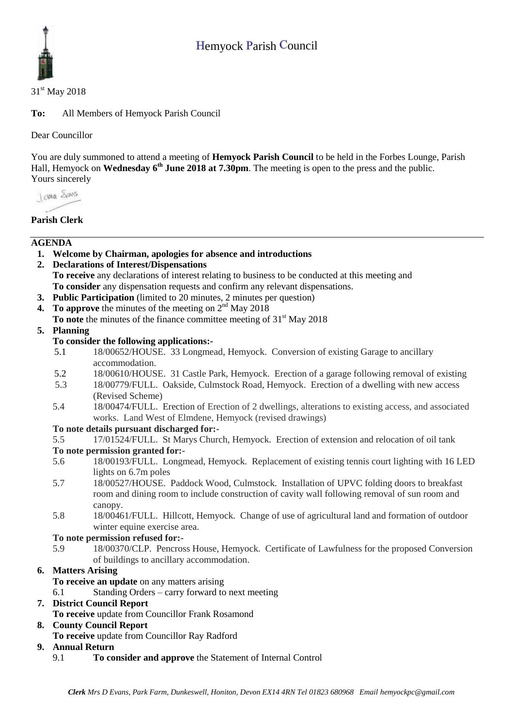# Hemyock Parish Council



#### 31<sup>st</sup> May 2018

**To:** All Members of Hemyock Parish Council

Dear Councillor

You are duly summoned to attend a meeting of **Hemyock Parish Council** to be held in the Forbes Lounge, Parish Hall, Hemyock on **Wednesday** 6<sup>th</sup> June 2018 at 7.30pm. The meeting is open to the press and the public. Yours sincerely

I awa Shans

# **Parish Clerk**

## **AGENDA**

- **1. Welcome by Chairman, apologies for absence and introductions**
- **2. Declarations of Interest/Dispensations To receive** any declarations of interest relating to business to be conducted at this meeting and **To consider** any dispensation requests and confirm any relevant dispensations.
- **3. Public Participation** (limited to 20 minutes, 2 minutes per question)
- **4.** To approve the minutes of the meeting on  $2<sup>nd</sup>$  May 2018
- **To note** the minutes of the finance committee meeting of 31<sup>st</sup> May 2018

#### **5. Planning**

## **To consider the following applications:-**

- 5.1 18/00652/HOUSE. 33 Longmead, Hemyock. Conversion of existing Garage to ancillary accommodation.
- 5.2 18/00610/HOUSE. 31 Castle Park, Hemyock. Erection of a garage following removal of existing
- 5.3 18/00779/FULL. Oakside, Culmstock Road, Hemyock. Erection of a dwelling with new access (Revised Scheme)
- 5.4 18/00474/FULL. Erection of Erection of 2 dwellings, alterations to existing access, and associated works. Land West of Elmdene, Hemyock (revised drawings)

## **To note details pursuant discharged for:-**

5.5 17/01524/FULL. St Marys Church, Hemyock. Erection of extension and relocation of oil tank

#### **To note permission granted for:-**

- 5.6 18/00193/FULL. Longmead, Hemyock. Replacement of existing tennis court lighting with 16 LED lights on 6.7m poles
- 5.7 18/00527/HOUSE. Paddock Wood, Culmstock. Installation of UPVC folding doors to breakfast room and dining room to include construction of cavity wall following removal of sun room and canopy.
- 5.8 18/00461/FULL. Hillcott, Hemyock. Change of use of agricultural land and formation of outdoor winter equine exercise area.

#### **To note permission refused for:-**

5.9 18/00370/CLP. Pencross House, Hemyock. Certificate of Lawfulness for the proposed Conversion of buildings to ancillary accommodation.

## **6. Matters Arising**

**To receive an update** on any matters arising

6.1 Standing Orders – carry forward to next meeting

# **7. District Council Report**

**To receive** update from Councillor Frank Rosamond

## **8. County Council Report**

**To receive** update from Councillor Ray Radford

## **9. Annual Return**

9.1 **To consider and approve** the Statement of Internal Control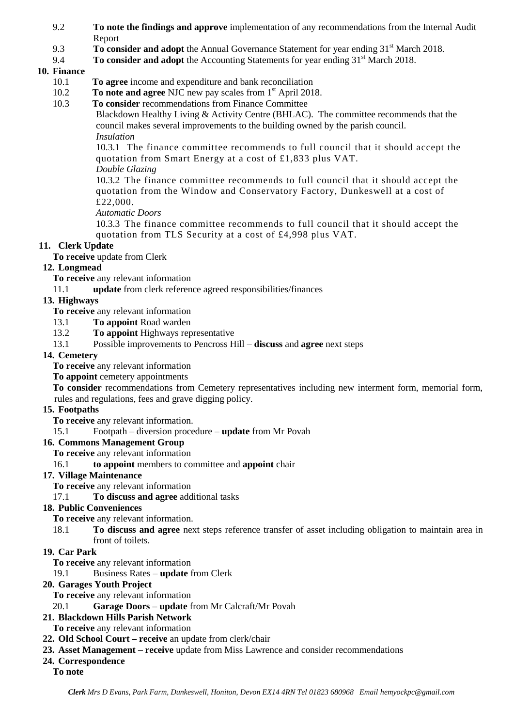- 9.2 **To note the findings and approve** implementation of any recommendations from the Internal Audit Report
- 9.3 **To consider and adopt** the Annual Governance Statement for year ending 31<sup>st</sup> March 2018.
- 9.4 **To consider and adopt** the Accounting Statements for year ending 31<sup>st</sup> March 2018.

# **10. Finance**

- 10.1 **To agree** income and expenditure and bank reconciliation
- 10.2 **To note and agree NJC** new pay scales from 1<sup>st</sup> April 2018.
- 10.3 **To consider** recommendations from Finance Committee

Blackdown Healthy Living & Activity Centre (BHLAC). The committee recommends that the council makes several improvements to the building owned by the parish council. *Insulation*

10.3.1 The finance committee recommends to full council that it should accept the quotation from Smart Energy at a cost of £1,833 plus VAT.

*Double Glazing*

10.3.2 The finance committee recommends to full council that it should accept the quotation from the Window and Conservatory Factory, Dunkeswell at a cost of £22,000.

*Automatic Doors*

10.3.3 The finance committee recommends to full council that it should accept the quotation from TLS Security at a cost of £4,998 plus VAT.

# **11. Clerk Update**

**To receive** update from Clerk

## **12. Longmead**

**To receive** any relevant information

11.1 **update** from clerk reference agreed responsibilities/finances

## **13. Highways**

**To receive** any relevant information

- 13.1 **To appoint** Road warden
- 13.2 **To appoint** Highways representative
- 13.1 Possible improvements to Pencross Hill **discuss** and **agree** next steps

## **14. Cemetery**

**To receive** any relevant information

**To appoint** cemetery appointments

**To consider** recommendations from Cemetery representatives including new interment form, memorial form, rules and regulations, fees and grave digging policy.

## **15. Footpaths**

**To receive** any relevant information.

15.1 Footpath – diversion procedure – **update** from Mr Povah

## **16. Commons Management Group**

**To receive** any relevant information

16.1 **to appoint** members to committee and **appoint** chair

## **17. Village Maintenance**

**To receive** any relevant information

#### 17.1 **To discuss and agree** additional tasks

## **18. Public Conveniences**

**To receive** any relevant information.

18.1 **To discuss and agree** next steps reference transfer of asset including obligation to maintain area in front of toilets.

# **19. Car Park**

**To receive** any relevant information

## 19.1 Business Rates – **update** from Clerk

#### **20. Garages Youth Project**

**To receive** any relevant information

## 20.1 **Garage Doors – update** from Mr Calcraft/Mr Povah

## **21. Blackdown Hills Parish Network**

**To receive** any relevant information

#### **22. Old School Court – receive** an update from clerk/chair

**23. Asset Management – receive** update from Miss Lawrence and consider recommendations

## **24. Correspondence**

#### **To note**